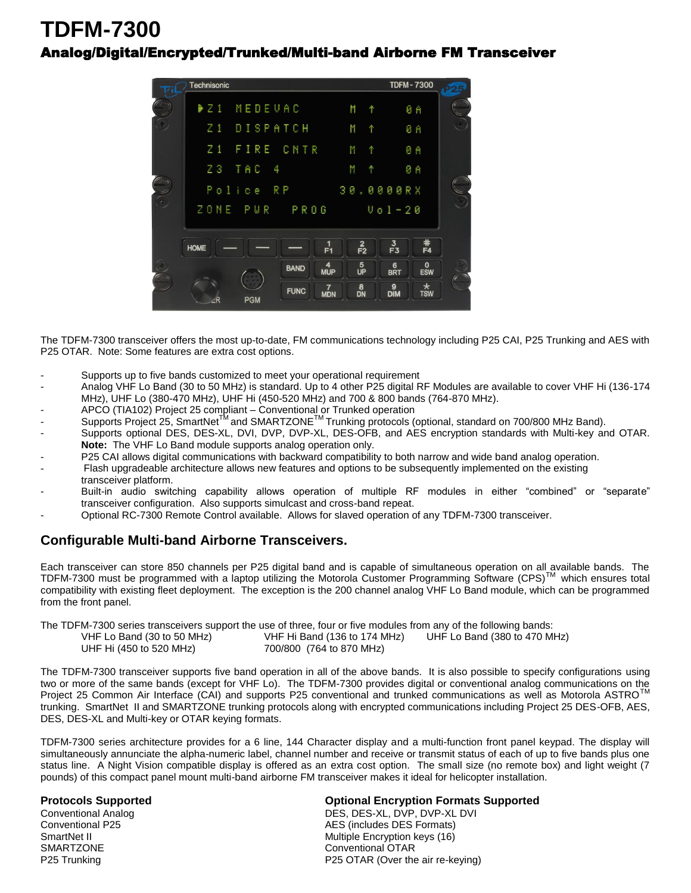## **TDFM-7300**  Analog/Digital/Encrypted/Trunked/Multi-band Airborne FM Transceiver



The TDFM-7300 transceiver offers the most up-to-date, FM communications technology including P25 CAI, P25 Trunking and AES with P25 OTAR. Note: Some features are extra cost options.

- Supports up to five bands customized to meet your operational requirement
- Analog VHF Lo Band (30 to 50 MHz) is standard. Up to 4 other P25 digital RF Modules are available to cover VHF Hi (136-174 MHz), UHF Lo (380-470 MHz), UHF Hi (450-520 MHz) and 700 & 800 bands (764-870 MHz).
- APCO (TIA102) Project 25 compliant Conventional or Trunked operation
- Supports Project 25, SmartNet<sup>TM</sup> and SMARTZONE<sup>TM</sup> Trunking protocols (optional, standard on 700/800 MHz Band).
- Supports optional DES, DES-XL, DVI, DVP, DVP-XL, DES-OFB, and AES encryption standards with Multi-key and OTAR. **Note:** The VHF Lo Band module supports analog operation only.
- P25 CAI allows digital communications with backward compatibility to both narrow and wide band analog operation.
- Flash upgradeable architecture allows new features and options to be subsequently implemented on the existing transceiver platform.
- Built-in audio switching capability allows operation of multiple RF modules in either "combined" or "separate" transceiver configuration. Also supports simulcast and cross-band repeat.
- Optional RC-7300 Remote Control available. Allows for slaved operation of any TDFM-7300 transceiver.

## **Configurable Multi-band Airborne Transceivers.**

Each transceiver can store 850 channels per P25 digital band and is capable of simultaneous operation on all available bands. The TDFM-7300 must be programmed with a laptop utilizing the Motorola Customer Programming Software (CPS)™ which ensures total compatibility with existing fleet deployment. The exception is the 200 channel analog VHF Lo Band module, which can be programmed from the front panel.

The TDFM-7300 series transceivers support the use of three, four or five modules from any of the following bands:

| VHF Lo Band (30 to 50 MHz) | VHF Hi Band (136 to 174 MHz) | UHF Lo Band (380 to 470 MHz) |
|----------------------------|------------------------------|------------------------------|
| UHF Hi (450 to 520 MHz)    | 700/800 (764 to 870 MHz)     |                              |

The TDFM-7300 transceiver supports five band operation in all of the above bands. It is also possible to specify configurations using two or more of the same bands (except for VHF Lo). The TDFM-7300 provides digital or conventional analog communications on the Project 25 Common Air Interface (CAI) and supports P25 conventional and trunked communications as well as Motorola ASTRO™ trunking. SmartNet II and SMARTZONE trunking protocols along with encrypted communications including Project 25 DES-OFB, AES, DES, DES-XL and Multi-key or OTAR keying formats.

TDFM-7300 series architecture provides for a 6 line, 144 Character display and a multi-function front panel keypad. The display will simultaneously annunciate the alpha-numeric label, channel number and receive or transmit status of each of up to five bands plus one status line. A Night Vision compatible display is offered as an extra cost option. The small size (no remote box) and light weight (7) pounds) of this compact panel mount multi-band airborne FM transceiver makes it ideal for helicopter installation.

## **Protocols Supported Optional Encryption Formats Supported**

Conventional Analog DES, DES-XL, DVP, DVP-XL DVI AES (includes DES Formats) SmartNet II **SmartNet II** Multiple Encryption keys (16)<br>
SMARTZONE **Conventional OTAR** Conventional OTAR P25 Trunking **P25 OTAR (Over the air re-keying)**